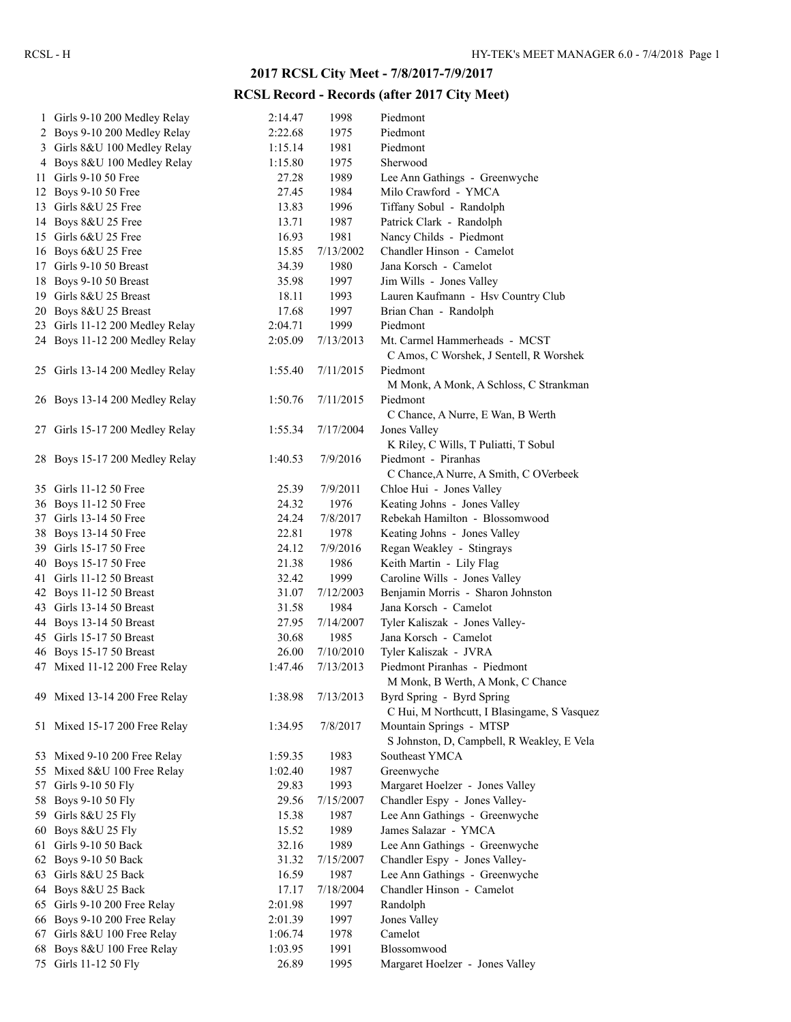## **2017 RCSL City Meet - 7/8/2017-7/9/2017**

## **RCSL Record - Records (after 2017 City Meet)**

| 1 Girls 9-10 200 Medley Relay                       | 2:14.47 | 1998      | Piedmont                                                              |
|-----------------------------------------------------|---------|-----------|-----------------------------------------------------------------------|
| 2 Boys 9-10 200 Medley Relay                        | 2:22.68 | 1975      | Piedmont                                                              |
| 3 Girls 8&U 100 Medley Relay                        | 1:15.14 | 1981      | Piedmont                                                              |
| 4 Boys 8&U 100 Medley Relay                         | 1:15.80 | 1975      | Sherwood                                                              |
| 11 Girls 9-10 50 Free                               | 27.28   | 1989      | Lee Ann Gathings - Greenwyche                                         |
| 12 Boys 9-10 50 Free                                | 27.45   | 1984      | Milo Crawford - YMCA                                                  |
| 13 Girls 8&U 25 Free                                | 13.83   | 1996      | Tiffany Sobul - Randolph                                              |
| 14 Boys 8&U 25 Free                                 | 13.71   | 1987      | Patrick Clark - Randolph                                              |
| 15 Girls 6&U 25 Free                                | 16.93   | 1981      | Nancy Childs - Piedmont                                               |
| 16 Boys 6&U 25 Free                                 | 15.85   | 7/13/2002 | Chandler Hinson - Camelot                                             |
| 17 Girls 9-10 50 Breast                             | 34.39   | 1980      | Jana Korsch - Camelot                                                 |
| 18 Boys 9-10 50 Breast                              | 35.98   | 1997      | Jim Wills - Jones Valley                                              |
| 19 Girls 8&U 25 Breast                              | 18.11   | 1993      | Lauren Kaufmann - Hsv Country Club                                    |
| 20 Boys 8&U 25 Breast                               | 17.68   | 1997      | Brian Chan - Randolph                                                 |
| 23 Girls 11-12 200 Medley Relay                     | 2:04.71 | 1999      | Piedmont                                                              |
| 24 Boys 11-12 200 Medley Relay                      | 2:05.09 | 7/13/2013 | Mt. Carmel Hammerheads - MCST                                         |
|                                                     |         |           | C Amos, C Worshek, J Sentell, R Worshek                               |
| 25 Girls 13-14 200 Medley Relay                     | 1:55.40 | 7/11/2015 | Piedmont                                                              |
|                                                     |         |           | M Monk, A Monk, A Schloss, C Strankman                                |
| 26 Boys 13-14 200 Medley Relay                      | 1:50.76 | 7/11/2015 | Piedmont                                                              |
|                                                     |         |           | C Chance, A Nurre, E Wan, B Werth                                     |
| 27 Girls 15-17 200 Medley Relay                     | 1:55.34 | 7/17/2004 | Jones Valley                                                          |
|                                                     |         |           | K Riley, C Wills, T Puliatti, T Sobul                                 |
| 28 Boys 15-17 200 Medley Relay                      | 1:40.53 | 7/9/2016  | Piedmont - Piranhas                                                   |
|                                                     |         |           | C Chance, A Nurre, A Smith, C OVerbeek                                |
| 35 Girls 11-12 50 Free                              | 25.39   | 7/9/2011  | Chloe Hui - Jones Valley                                              |
| 36 Boys 11-12 50 Free                               | 24.32   | 1976      | Keating Johns - Jones Valley                                          |
| 37 Girls 13-14 50 Free                              | 24.24   | 7/8/2017  | Rebekah Hamilton - Blossomwood                                        |
| 38 Boys 13-14 50 Free                               | 22.81   | 1978      | Keating Johns - Jones Valley                                          |
| 39 Girls 15-17 50 Free                              | 24.12   | 7/9/2016  | Regan Weakley - Stingrays                                             |
| 40 Boys 15-17 50 Free                               | 21.38   | 1986      | Keith Martin - Lily Flag                                              |
| 41 Girls 11-12 50 Breast                            | 32.42   | 1999      | Caroline Wills - Jones Valley                                         |
| 42 Boys 11-12 50 Breast                             | 31.07   | 7/12/2003 | Benjamin Morris - Sharon Johnston                                     |
| 43 Girls 13-14 50 Breast                            | 31.58   | 1984      | Jana Korsch - Camelot                                                 |
|                                                     | 27.95   | 7/14/2007 | Tyler Kaliszak - Jones Valley-                                        |
| 44 Boys 13-14 50 Breast<br>45 Girls 15-17 50 Breast | 30.68   | 1985      | Jana Korsch - Camelot                                                 |
| 46 Boys 15-17 50 Breast                             | 26.00   | 7/10/2010 | Tyler Kaliszak - JVRA                                                 |
|                                                     |         | 7/13/2013 | Piedmont Piranhas - Piedmont                                          |
| 47 Mixed 11-12 200 Free Relay                       | 1:47.46 |           |                                                                       |
|                                                     |         |           | M Monk, B Werth, A Monk, C Chance<br>Byrd Spring - Byrd Spring        |
| 49 Mixed 13-14 200 Free Relay                       | 1:38.98 | 7/13/2013 |                                                                       |
|                                                     |         |           | C Hui, M Northcutt, I Blasingame, S Vasquez                           |
| 51 Mixed 15-17 200 Free Relay                       | 1:34.95 | 7/8/2017  | Mountain Springs - MTSP<br>S Johnston, D, Campbell, R Weakley, E Vela |
|                                                     |         |           |                                                                       |
| 53 Mixed 9-10 200 Free Relay                        | 1:59.35 | 1983      | Southeast YMCA                                                        |
| 55 Mixed 8&U 100 Free Relay                         | 1:02.40 | 1987      | Greenwyche                                                            |
| 57 Girls 9-10 50 Fly                                | 29.83   | 1993      | Margaret Hoelzer - Jones Valley                                       |
| 58 Boys 9-10 50 Fly                                 | 29.56   | 7/15/2007 | Chandler Espy - Jones Valley-                                         |
| 59 Girls 8&U 25 Fly                                 | 15.38   | 1987      | Lee Ann Gathings - Greenwyche                                         |
| 60 Boys 8&U 25 Fly                                  | 15.52   | 1989      | James Salazar - YMCA                                                  |
| 61 Girls 9-10 50 Back                               | 32.16   | 1989      | Lee Ann Gathings - Greenwyche                                         |
| 62 Boys 9-10 50 Back                                | 31.32   | 7/15/2007 | Chandler Espy - Jones Valley-                                         |
| 63 Girls 8&U 25 Back                                | 16.59   | 1987      | Lee Ann Gathings - Greenwyche                                         |
| 64 Boys 8&U 25 Back                                 | 17.17   | 7/18/2004 | Chandler Hinson - Camelot                                             |
| 65 Girls 9-10 200 Free Relay                        | 2:01.98 | 1997      | Randolph                                                              |
| 66 Boys 9-10 200 Free Relay                         | 2:01.39 | 1997      | Jones Valley                                                          |
| 67 Girls 8&U 100 Free Relay                         | 1:06.74 | 1978      | Camelot                                                               |
| 68 Boys 8&U 100 Free Relay                          | 1:03.95 | 1991      | Blossomwood                                                           |
| 75 Girls 11-12 50 Fly                               | 26.89   | 1995      | Margaret Hoelzer - Jones Valley                                       |